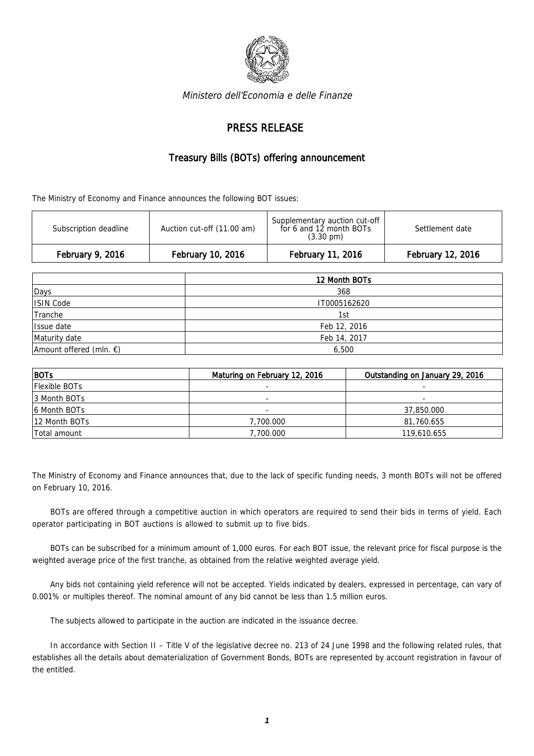

Ministero dell'Economia e delle Finanze

## PRESS RELEASE

## Treasury Bills (BOTs) offering announcement

The Ministry of Economy and Finance announces the following BOT issues:

| February 9, 2016      | February 10, 2016          | February 11, 2016                                                               | February 12, 2016 |
|-----------------------|----------------------------|---------------------------------------------------------------------------------|-------------------|
| Subscription deadline | Auction cut-off (11.00 am) | Supplementary auction cut-off<br>for 6 and 12 month BOTs<br>$(3.30 \text{ pm})$ | Settlement date   |

|                                   | 12 Month BOTs |  |
|-----------------------------------|---------------|--|
| Days                              | 368           |  |
| ISIN Code                         | IT0005162620  |  |
| Tranche                           | 1st           |  |
| Issue date                        | Feb 12, 2016  |  |
| Maturity date                     | Feb 14, 2017  |  |
| Amount offered (mln. $\epsilon$ ) | 6,500         |  |

| $ $ BOTs             | Maturing on February 12, 2016 | Outstanding on January 29, 2016 |
|----------------------|-------------------------------|---------------------------------|
| <b>Flexible BOTs</b> |                               |                                 |
| 13 Month BOTs        |                               | -                               |
| 6 Month BOTs         | $\overline{\phantom{a}}$      | 37,850.000                      |
| 12 Month BOTs        | 7,700,000                     | 81,760.655                      |
| Total amount         | 7,700.000                     | 119,610.655                     |

The Ministry of Economy and Finance announces that, due to the lack of specific funding needs, 3 month BOTs will not be offered on February 10, 2016.

BOTs are offered through a competitive auction in which operators are required to send their bids in terms of yield. Each operator participating in BOT auctions is allowed to submit up to five bids.

BOTs can be subscribed for a minimum amount of 1,000 euros. For each BOT issue, the relevant price for fiscal purpose is the weighted average price of the first tranche, as obtained from the relative weighted average yield.

Any bids not containing yield reference will not be accepted. Yields indicated by dealers, expressed in percentage, can vary of 0.001% or multiples thereof. The nominal amount of any bid cannot be less than 1.5 million euros.

The subjects allowed to participate in the auction are indicated in the issuance decree.

In accordance with Section II – Title V of the legislative decree no. 213 of 24 June 1998 and the following related rules, that establishes all the details about dematerialization of Government Bonds, BOTs are represented by account registration in favour of the entitled.